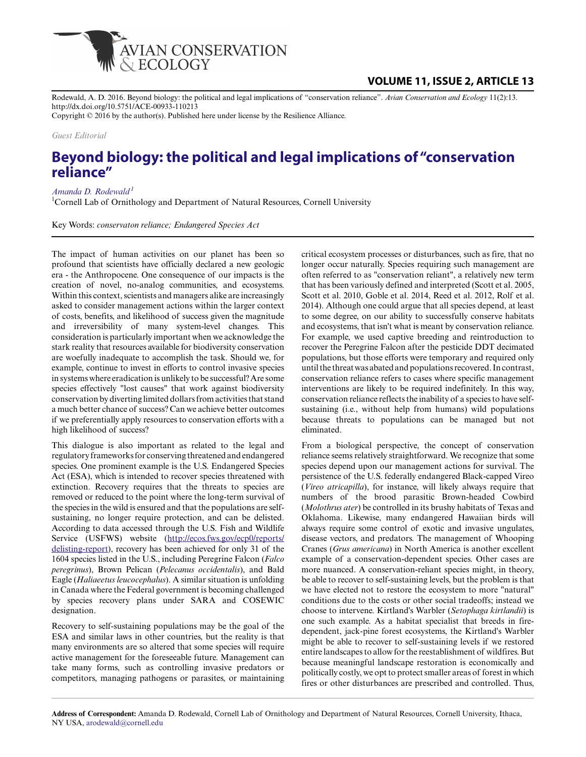

Rodewald, A. D. 2016. Beyond biology: the political and legal implications of "conservation reliance". *Avian Conservation and Ecology* 11(2):13. http://dx.doi.org/10.5751/ACE-00933-110213

Copyright © 2016 by the author(s). Published here under license by the Resilience Alliance.

*Guest Editorial*

## **Beyond biology: the political and legal implications of "conservation reliance"**

*[Amanda D. Rodewald](mailto:arodewald@cornell.edu)<sup>1</sup>*

<sup>1</sup>Cornell Lab of Ornithology and Department of Natural Resources, Cornell University

Key Words: *conservaton reliance; Endangered Species Act*

The impact of human activities on our planet has been so profound that scientists have officially declared a new geologic era - the Anthropocene. One consequence of our impacts is the creation of novel, no-analog communities, and ecosystems. Within this context, scientists and managers alike are increasingly asked to consider management actions within the larger context of costs, benefits, and likelihood of success given the magnitude and irreversibility of many system-level changes. This consideration is particularly important when we acknowledge the stark reality that resources available for biodiversity conservation are woefully inadequate to accomplish the task. Should we, for example, continue to invest in efforts to control invasive species in systems where eradication is unlikely to be successful? Are some species effectively "lost causes" that work against biodiversity conservation by diverting limited dollars from activities that stand a much better chance of success? Can we achieve better outcomes if we preferentially apply resources to conservation efforts with a high likelihood of success?

This dialogue is also important as related to the legal and regulatory frameworks for conserving threatened and endangered species. One prominent example is the U.S. Endangered Species Act (ESA), which is intended to recover species threatened with extinction. Recovery requires that the threats to species are removed or reduced to the point where the long-term survival of the species in the wild is ensured and that the populations are selfsustaining, no longer require protection, and can be delisted. According to data accessed through the U.S. Fish and Wildlife Service (USFWS) website ([http://ecos.fws.gov/ecp0/reports/](http://ecos.fws.gov/ecp0/reports/delisting-report) [delisting-report\)](http://ecos.fws.gov/ecp0/reports/delisting-report), recovery has been achieved for only 31 of the 1604 species listed in the U.S., including Peregrine Falcon (*Falco peregrinus*), Brown Pelican (*Pelecanus occidentalis*), and Bald Eagle (*Haliaeetus leucocephalus*). A similar situation is unfolding in Canada where the Federal government is becoming challenged by species recovery plans under SARA and COSEWIC designation.

Recovery to self-sustaining populations may be the goal of the ESA and similar laws in other countries, but the reality is that many environments are so altered that some species will require active management for the foreseeable future. Management can take many forms, such as controlling invasive predators or competitors, managing pathogens or parasites, or maintaining critical ecosystem processes or disturbances, such as fire, that no longer occur naturally. Species requiring such management are often referred to as "conservation reliant", a relatively new term that has been variously defined and interpreted (Scott et al. 2005, Scott et al. 2010, Goble et al. 2014, Reed et al. 2012, Rolf et al. 2014). Although one could argue that all species depend, at least to some degree, on our ability to successfully conserve habitats and ecosystems, that isn't what is meant by conservation reliance. For example, we used captive breeding and reintroduction to recover the Peregrine Falcon after the pesticide DDT decimated populations, but those efforts were temporary and required only until the threat was abated and populations recovered. In contrast, conservation reliance refers to cases where specific management interventions are likely to be required indefinitely. In this way, conservation reliance reflects the inability of a species to have selfsustaining (i.e., without help from humans) wild populations because threats to populations can be managed but not eliminated.

From a biological perspective, the concept of conservation reliance seems relatively straightforward. We recognize that some species depend upon our management actions for survival. The persistence of the U.S. federally endangered Black-capped Vireo (*Vireo atricapilla*), for instance, will likely always require that numbers of the brood parasitic Brown-headed Cowbird (*Molothrus ater*) be controlled in its brushy habitats of Texas and Oklahoma. Likewise, many endangered Hawaiian birds will always require some control of exotic and invasive ungulates, disease vectors, and predators. The management of Whooping Cranes (*Grus americana*) in North America is another excellent example of a conservation-dependent species. Other cases are more nuanced. A conservation-reliant species might, in theory, be able to recover to self-sustaining levels, but the problem is that we have elected not to restore the ecosystem to more "natural" conditions due to the costs or other social tradeoffs; instead we choose to intervene. Kirtland's Warbler (*Setophaga kirtlandii*) is one such example. As a habitat specialist that breeds in firedependent, jack-pine forest ecosystems, the Kirtland's Warbler might be able to recover to self-sustaining levels if we restored entire landscapes to allow for the reestablishment of wildfires. But because meaningful landscape restoration is economically and politically costly, we opt to protect smaller areas of forest in which fires or other disturbances are prescribed and controlled. Thus,

**Address of Correspondent:** Amanda D. Rodewald, Cornell Lab of Ornithology and Department of Natural Resources, Cornell University, Ithaca, NY USA, [arodewald@cornell.edu](mailto:arodewald@cornell.edu)